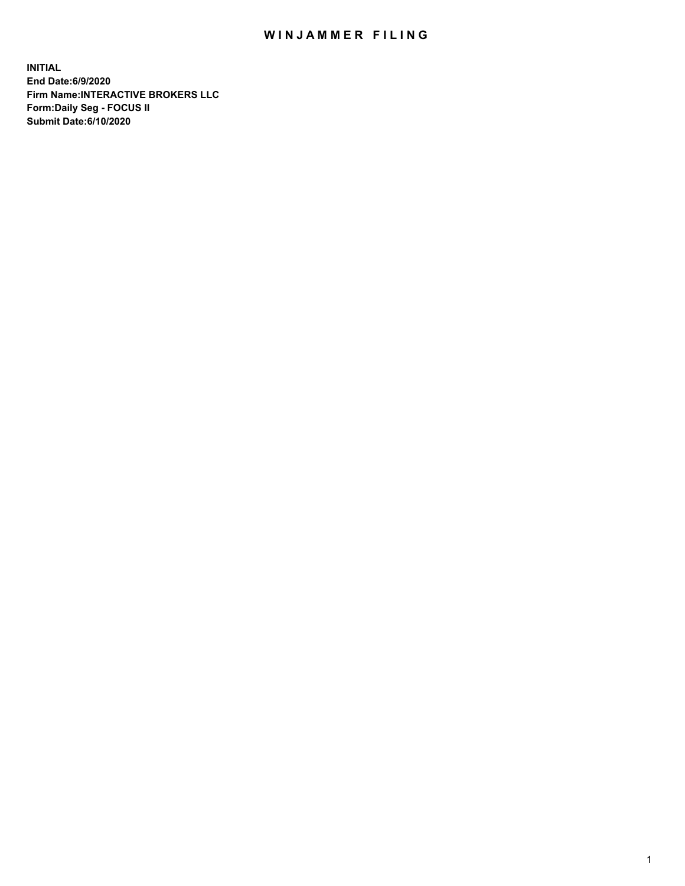## WIN JAMMER FILING

**INITIAL End Date:6/9/2020 Firm Name:INTERACTIVE BROKERS LLC Form:Daily Seg - FOCUS II Submit Date:6/10/2020**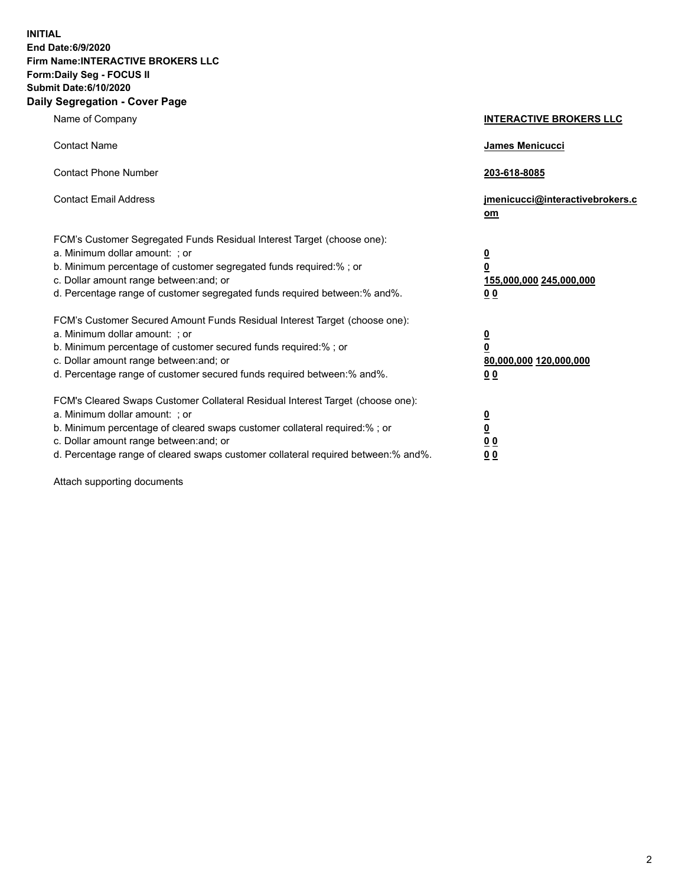**INITIAL End Date:6/9/2020 Firm Name:INTERACTIVE BROKERS LLC Form:Daily Seg - FOCUS II Submit Date:6/10/2020 Daily Segregation - Cover Page**

| Name of Company                                                                                                                                                                                                                                                                                                                | <b>INTERACTIVE BROKERS LLC</b>                                                                 |
|--------------------------------------------------------------------------------------------------------------------------------------------------------------------------------------------------------------------------------------------------------------------------------------------------------------------------------|------------------------------------------------------------------------------------------------|
| <b>Contact Name</b>                                                                                                                                                                                                                                                                                                            | <b>James Menicucci</b>                                                                         |
| <b>Contact Phone Number</b>                                                                                                                                                                                                                                                                                                    | 203-618-8085                                                                                   |
| <b>Contact Email Address</b>                                                                                                                                                                                                                                                                                                   | jmenicucci@interactivebrokers.c<br>om                                                          |
| FCM's Customer Segregated Funds Residual Interest Target (choose one):<br>a. Minimum dollar amount: ; or<br>b. Minimum percentage of customer segregated funds required:% ; or<br>c. Dollar amount range between: and; or<br>d. Percentage range of customer segregated funds required between:% and%.                         | $\overline{\mathbf{0}}$<br>$\overline{\mathbf{0}}$<br>155,000,000 245,000,000<br>00            |
| FCM's Customer Secured Amount Funds Residual Interest Target (choose one):<br>a. Minimum dollar amount: ; or<br>b. Minimum percentage of customer secured funds required:%; or<br>c. Dollar amount range between: and; or<br>d. Percentage range of customer secured funds required between:% and%.                            | $\overline{\mathbf{0}}$<br>$\overline{\mathbf{0}}$<br>80,000,000 120,000,000<br>0 <sub>0</sub> |
| FCM's Cleared Swaps Customer Collateral Residual Interest Target (choose one):<br>a. Minimum dollar amount: ; or<br>b. Minimum percentage of cleared swaps customer collateral required:% ; or<br>c. Dollar amount range between: and; or<br>d. Percentage range of cleared swaps customer collateral required between:% and%. | $\overline{\mathbf{0}}$<br><u>0</u><br>0 <sub>0</sub><br>00                                    |

Attach supporting documents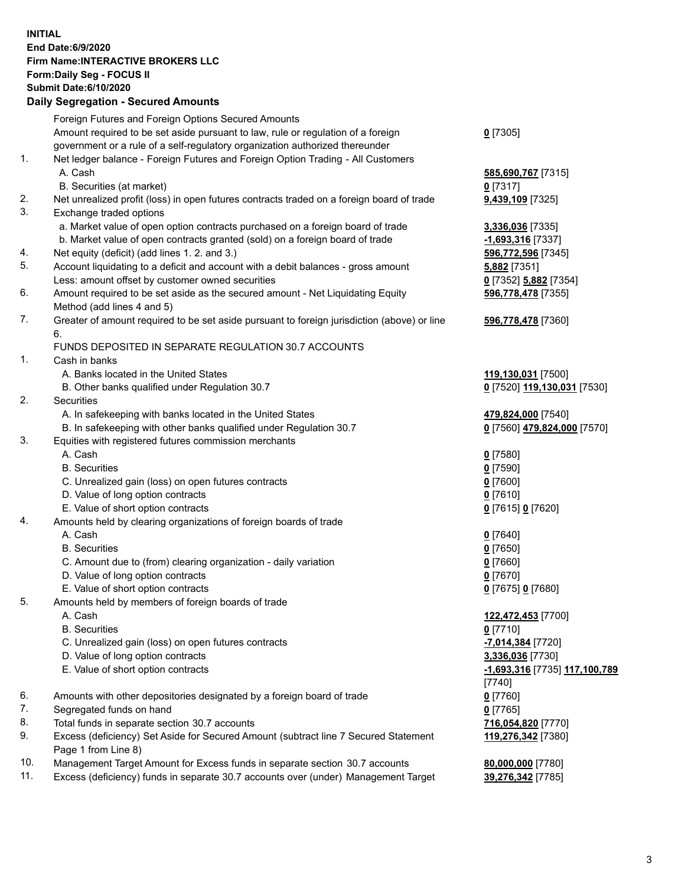## **INITIAL End Date:6/9/2020 Firm Name:INTERACTIVE BROKERS LLC Form:Daily Seg - FOCUS II Submit Date:6/10/2020 Daily Segregation - Secured Amounts**

|     | Daily Jeglegation - Jeculed Amounts                                                         |                                      |
|-----|---------------------------------------------------------------------------------------------|--------------------------------------|
|     | Foreign Futures and Foreign Options Secured Amounts                                         |                                      |
|     | Amount required to be set aside pursuant to law, rule or regulation of a foreign            | $0$ [7305]                           |
|     | government or a rule of a self-regulatory organization authorized thereunder                |                                      |
| 1.  | Net ledger balance - Foreign Futures and Foreign Option Trading - All Customers             |                                      |
|     | A. Cash                                                                                     | 585,690,767 [7315]                   |
|     | B. Securities (at market)                                                                   | $0$ [7317]                           |
| 2.  | Net unrealized profit (loss) in open futures contracts traded on a foreign board of trade   | 9,439,109 [7325]                     |
| 3.  | Exchange traded options                                                                     |                                      |
|     | a. Market value of open option contracts purchased on a foreign board of trade              | 3,336,036 [7335]                     |
|     | b. Market value of open contracts granted (sold) on a foreign board of trade                | -1,693,316 [7337]                    |
| 4.  | Net equity (deficit) (add lines 1. 2. and 3.)                                               | 596,772,596 [7345]                   |
| 5.  | Account liquidating to a deficit and account with a debit balances - gross amount           | 5,882 [7351]                         |
|     | Less: amount offset by customer owned securities                                            | 0 [7352] 5,882 [7354]                |
| 6.  | Amount required to be set aside as the secured amount - Net Liquidating Equity              | 596,778,478 [7355]                   |
|     | Method (add lines 4 and 5)                                                                  |                                      |
| 7.  | Greater of amount required to be set aside pursuant to foreign jurisdiction (above) or line | 596,778,478 [7360]                   |
|     | 6.                                                                                          |                                      |
|     | FUNDS DEPOSITED IN SEPARATE REGULATION 30.7 ACCOUNTS                                        |                                      |
| 1.  | Cash in banks                                                                               |                                      |
|     | A. Banks located in the United States                                                       | 119,130,031 [7500]                   |
|     | B. Other banks qualified under Regulation 30.7                                              | 0 [7520] 119,130,031 [7530]          |
| 2.  | <b>Securities</b>                                                                           |                                      |
|     | A. In safekeeping with banks located in the United States                                   | 479,824,000 [7540]                   |
|     | B. In safekeeping with other banks qualified under Regulation 30.7                          | 0 [7560] 479,824,000 [7570]          |
| 3.  | Equities with registered futures commission merchants                                       |                                      |
|     | A. Cash                                                                                     | $0$ [7580]                           |
|     | <b>B.</b> Securities                                                                        | $0$ [7590]                           |
|     | C. Unrealized gain (loss) on open futures contracts                                         | $0$ [7600]                           |
|     | D. Value of long option contracts                                                           | $0$ [7610]                           |
|     | E. Value of short option contracts                                                          | 0 [7615] 0 [7620]                    |
| 4.  | Amounts held by clearing organizations of foreign boards of trade                           |                                      |
|     | A. Cash                                                                                     | $Q$ [7640]                           |
|     | <b>B.</b> Securities                                                                        | $0$ [7650]                           |
|     | C. Amount due to (from) clearing organization - daily variation                             | $0$ [7660]                           |
|     | D. Value of long option contracts                                                           | $0$ [7670]                           |
|     | E. Value of short option contracts                                                          | 0 [7675] 0 [7680]                    |
| 5.  | Amounts held by members of foreign boards of trade                                          |                                      |
|     | A. Cash                                                                                     | 122,472,453 [7700]                   |
|     | <b>B.</b> Securities                                                                        | $0$ [7710]                           |
|     | C. Unrealized gain (loss) on open futures contracts                                         | -7,014,384 [7720]                    |
|     | D. Value of long option contracts                                                           | 3,336,036 [7730]                     |
|     | E. Value of short option contracts                                                          | <u>-1,693,316</u> [7735] 117,100,789 |
|     |                                                                                             | [7740]                               |
| 6.  | Amounts with other depositories designated by a foreign board of trade                      | $0$ [7760]                           |
| 7.  | Segregated funds on hand                                                                    | $0$ [7765]                           |
| 8.  | Total funds in separate section 30.7 accounts                                               | 716,054,820 [7770]                   |
| 9.  | Excess (deficiency) Set Aside for Secured Amount (subtract line 7 Secured Statement         | 119,276,342 [7380]                   |
|     | Page 1 from Line 8)                                                                         |                                      |
| 10. | Management Target Amount for Excess funds in separate section 30.7 accounts                 | 80,000,000 [7780]                    |
| 11. | Excess (deficiency) funds in separate 30.7 accounts over (under) Management Target          | 39,276,342 [7785]                    |
|     |                                                                                             |                                      |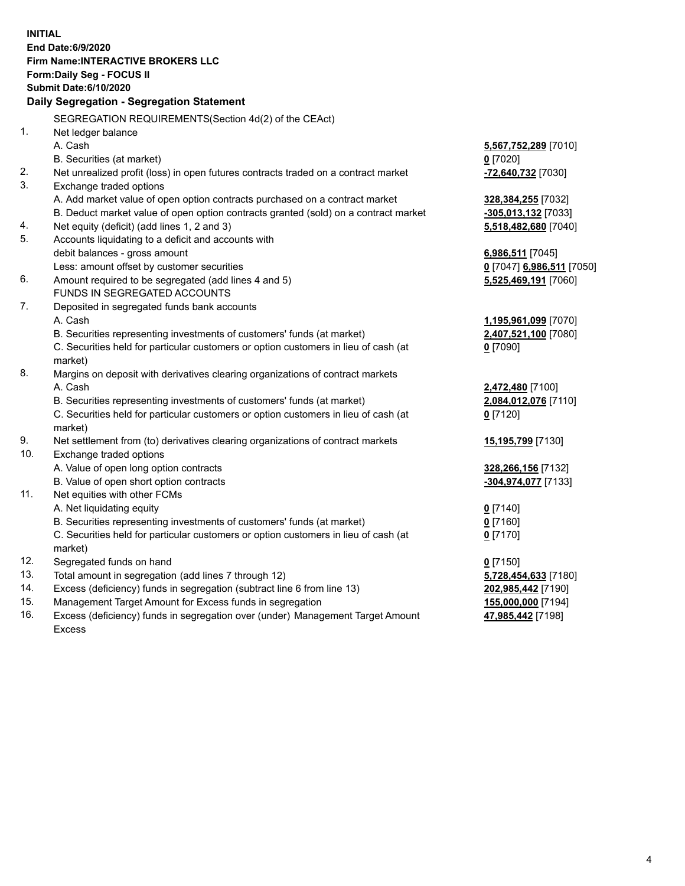**INITIAL End Date:6/9/2020 Firm Name:INTERACTIVE BROKERS LLC Form:Daily Seg - FOCUS II Submit Date:6/10/2020 Daily Segregation - Segregation Statement** SEGREGATION REQUIREMENTS(Section 4d(2) of the CEAct) 1. Net ledger balance A. Cash **5,567,752,289** [7010] B. Securities (at market) **0** [7020] 2. Net unrealized profit (loss) in open futures contracts traded on a contract market **-72,640,732** [7030] 3. Exchange traded options A. Add market value of open option contracts purchased on a contract market **328,384,255** [7032] B. Deduct market value of open option contracts granted (sold) on a contract market **-305,013,132** [7033] 4. Net equity (deficit) (add lines 1, 2 and 3) **5,518,482,680** [7040] 5. Accounts liquidating to a deficit and accounts with debit balances - gross amount **6,986,511** [7045] Less: amount offset by customer securities **0** [7047] **6,986,511** [7050] 6. Amount required to be segregated (add lines 4 and 5) **5,525,469,191** [7060] FUNDS IN SEGREGATED ACCOUNTS 7. Deposited in segregated funds bank accounts A. Cash **1,195,961,099** [7070] B. Securities representing investments of customers' funds (at market) **2,407,521,100** [7080] C. Securities held for particular customers or option customers in lieu of cash (at market) **0** [7090] 8. Margins on deposit with derivatives clearing organizations of contract markets A. Cash **2,472,480** [7100] B. Securities representing investments of customers' funds (at market) **2,084,012,076** [7110] C. Securities held for particular customers or option customers in lieu of cash (at market) **0** [7120] 9. Net settlement from (to) derivatives clearing organizations of contract markets **15,195,799** [7130] 10. Exchange traded options A. Value of open long option contracts **328,266,156** [7132] B. Value of open short option contracts **-304,974,077** [7133] 11. Net equities with other FCMs A. Net liquidating equity **0** [7140] B. Securities representing investments of customers' funds (at market) **0** [7160] C. Securities held for particular customers or option customers in lieu of cash (at market) **0** [7170] 12. Segregated funds on hand **0** [7150] 13. Total amount in segregation (add lines 7 through 12) **5,728,454,633** [7180] 14. Excess (deficiency) funds in segregation (subtract line 6 from line 13) **202,985,442** [7190] 15. Management Target Amount for Excess funds in segregation **155,000,000** [7194] **47,985,442** [7198]

16. Excess (deficiency) funds in segregation over (under) Management Target Amount Excess